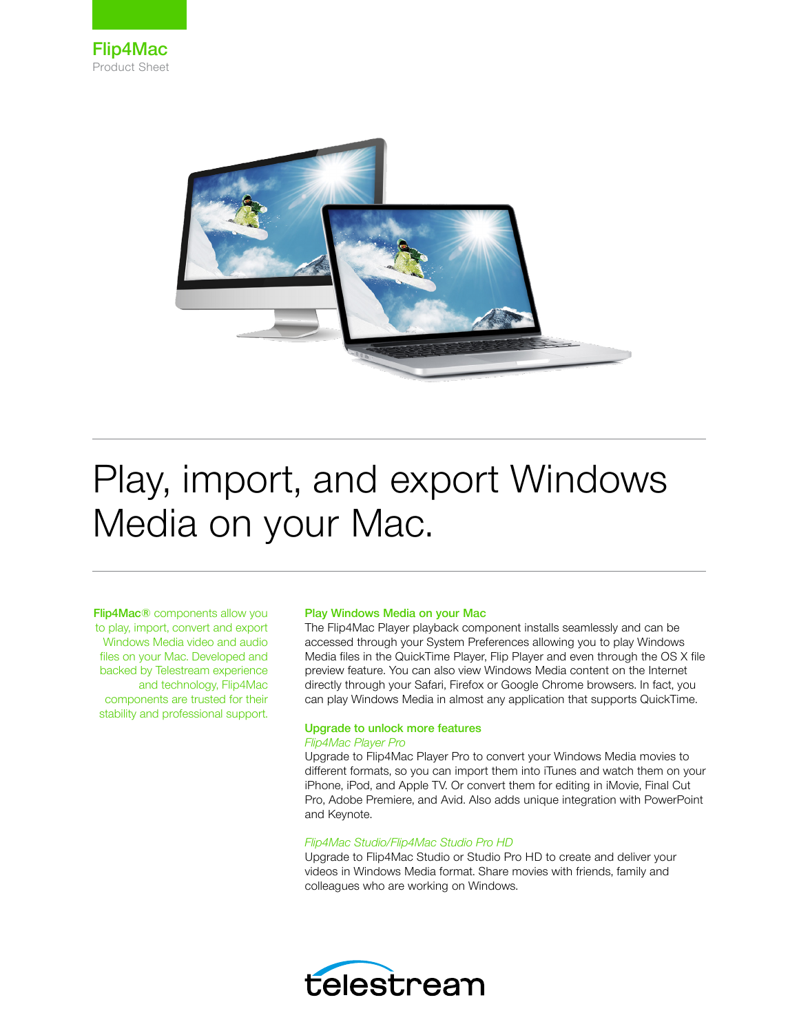



# Play, import, and export Windows Media on your Mac.

Flip4Mac® components allow you to play, import, convert and export Windows Media video and audio files on your Mac. Developed and backed by Telestream experience and technology, Flip4Mac components are trusted for their stability and professional support.

#### Play Windows Media on your Mac

The Flip4Mac Player playback component installs seamlessly and can be accessed through your System Preferences allowing you to play Windows Media files in the QuickTime Player, Flip Player and even through the OS X file preview feature. You can also view Windows Media content on the Internet directly through your Safari, Firefox or Google Chrome browsers. In fact, you can play Windows Media in almost any application that supports QuickTime.

#### Upgrade to unlock more features *Flip4Mac Player Pro*

Upgrade to Flip4Mac Player Pro to convert your Windows Media movies to different formats, so you can import them into iTunes and watch them on your iPhone, iPod, and Apple TV. Or convert them for editing in iMovie, Final Cut Pro, Adobe Premiere, and Avid. Also adds unique integration with PowerPoint and Keynote.

## *Flip4Mac Studio/Flip4Mac Studio Pro HD*

Upgrade to Flip4Mac Studio or Studio Pro HD to create and deliver your videos in Windows Media format. Share movies with friends, family and colleagues who are working on Windows.